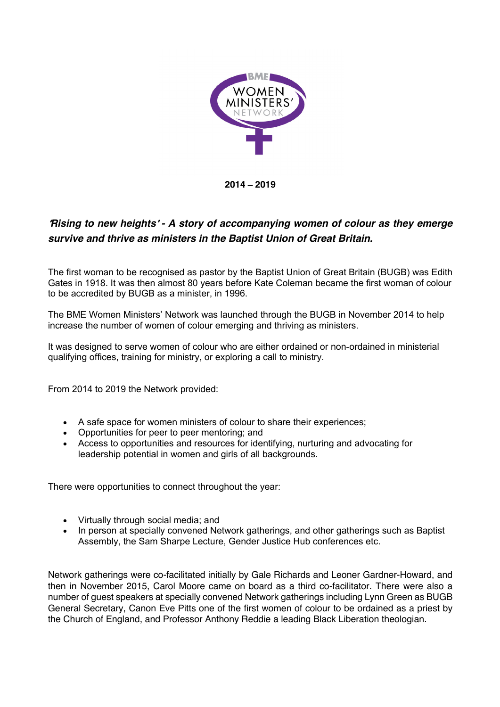

**2014** – **2019**

## '*Rising to new heights*' *- A story of accompanying women of colour as they emerge survive and thrive as ministers in the Baptist Union of Great Britain.*

The first woman to be recognised as pastor by the Baptist Union of Great Britain (BUGB) was Edith Gates in 1918. It was then almost 80 years before Kate Coleman became the first woman of colour to be accredited by BUGB as a minister, in 1996.

The BME Women Ministers' Network was launched through the BUGB in November 2014 to help increase the number of women of colour emerging and thriving as ministers.

It was designed to serve women of colour who are either ordained or non-ordained in ministerial qualifying offices, training for ministry, or exploring a call to ministry.

From 2014 to 2019 the Network provided:

- A safe space for women ministers of colour to share their experiences;
- Opportunities for peer to peer mentoring; and
- Access to opportunities and resources for identifying, nurturing and advocating for leadership potential in women and girls of all backgrounds.

There were opportunities to connect throughout the year:

- Virtually through social media; and
- In person at specially convened Network gatherings, and other gatherings such as Baptist Assembly, the Sam Sharpe Lecture, Gender Justice Hub conferences etc.

Network gatherings were co-facilitated initially by Gale Richards and Leoner Gardner-Howard, and then in November 2015, Carol Moore came on board as a third co-facilitator. There were also a number of guest speakers at specially convened Network gatherings including Lynn Green as BUGB General Secretary, Canon Eve Pitts one of the first women of colour to be ordained as a priest by the Church of England, and Professor Anthony Reddie a leading Black Liberation theologian.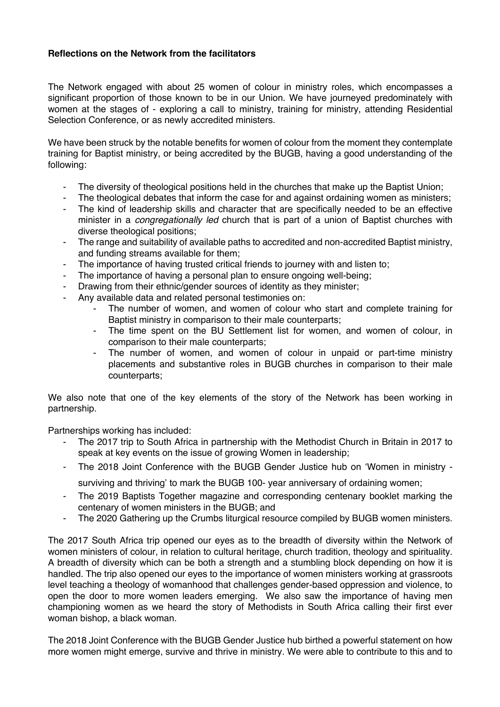## **Reflections on the Network from the facilitators**

The Network engaged with about 25 women of colour in ministry roles, which encompasses a significant proportion of those known to be in our Union. We have journeyed predominately with women at the stages of - exploring a call to ministry, training for ministry, attending Residential Selection Conference, or as newly accredited ministers.

We have been struck by the notable benefits for women of colour from the moment they contemplate training for Baptist ministry, or being accredited by the BUGB, having a good understanding of the following:

- The diversity of theological positions held in the churches that make up the Baptist Union;
- The theological debates that inform the case for and against ordaining women as ministers;
- The kind of leadership skills and character that are specifically needed to be an effective minister in a *congregationally led* church that is part of a union of Baptist churches with diverse theological positions;
- The range and suitability of available paths to accredited and non-accredited Baptist ministry, and funding streams available for them;
- The importance of having trusted critical friends to journey with and listen to;
- The importance of having a personal plan to ensure ongoing well-being:
- Drawing from their ethnic/gender sources of identity as they minister;
- Any available data and related personal testimonies on:
	- The number of women, and women of colour who start and complete training for Baptist ministry in comparison to their male counterparts;
	- The time spent on the BU Settlement list for women, and women of colour, in comparison to their male counterparts;
	- The number of women, and women of colour in unpaid or part-time ministry placements and substantive roles in BUGB churches in comparison to their male counterparts;

We also note that one of the key elements of the story of the Network has been working in partnership.

Partnerships working has included:

- The 2017 trip to South Africa in partnership with the Methodist Church in Britain in 2017 to speak at key events on the issue of growing Women in leadership;
- The 2018 Joint Conference with the BUGB Gender Justice hub on 'Women in ministry -

surviving and thriving' to mark the BUGB 100- year anniversary of ordaining women;

- The 2019 Baptists Together magazine and corresponding centenary booklet marking the centenary of women ministers in the BUGB; and
- The 2020 Gathering up the Crumbs liturgical resource compiled by BUGB women ministers.

The 2017 South Africa trip opened our eyes as to the breadth of diversity within the Network of women ministers of colour, in relation to cultural heritage, church tradition, theology and spirituality. A breadth of diversity which can be both a strength and a stumbling block depending on how it is handled. The trip also opened our eyes to the importance of women ministers working at grassroots level teaching a theology of womanhood that challenges gender-based oppression and violence, to open the door to more women leaders emerging. We also saw the importance of having men championing women as we heard the story of Methodists in South Africa calling their first ever woman bishop, a black woman.

The 2018 Joint Conference with the BUGB Gender Justice hub birthed a powerful statement on how more women might emerge, survive and thrive in ministry. We were able to contribute to this and to